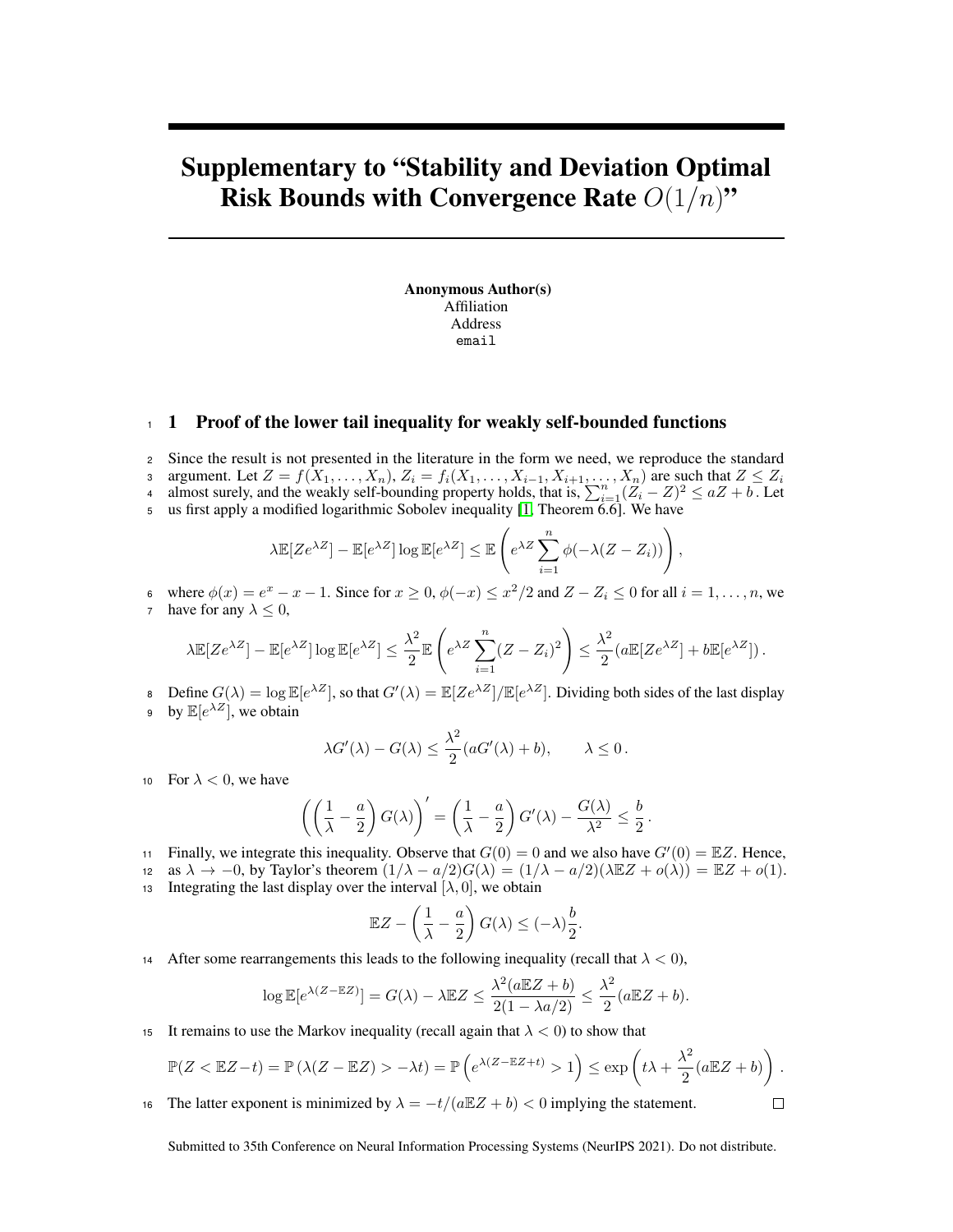## Supplementary to "Stability and Deviation Optimal Risk Bounds with Convergence Rate  $O(1/n)$ "

Anonymous Author(s) Affiliation Address email

## <sup>1</sup> 1 Proof of the lower tail inequality for weakly self-bounded functions

- <sup>2</sup> Since the result is not presented in the literature in the form we need, we reproduce the standard
- 3 argument. Let  $Z = f(X_1, \ldots, X_n)$ ,  $Z_i = f_i(X_1, \ldots, X_{i-1}, X_{i+1}, \ldots, X_n)$  are such that  $Z \le Z_i$
- a almost surely, and the weakly self-bounding property holds, that is,  $\sum_{i=1}^{n} (Z_i Z)^2 \le aZ + b$ . Let
- <sup>5</sup> us first apply a modified logarithmic Sobolev inequality [\[1,](#page-1-0) Theorem 6.6]. We have

$$
\lambda \mathbb{E}[Ze^{\lambda Z}] - \mathbb{E}[e^{\lambda Z}] \log \mathbb{E}[e^{\lambda Z}] \leq \mathbb{E}\left(e^{\lambda Z} \sum_{i=1}^n \phi(-\lambda (Z - Z_i))\right),
$$

6 where  $\phi(x) = e^x - x - 1$ . Since for  $x \ge 0$ ,  $\phi(-x) \le x^2/2$  and  $Z - Z_i \le 0$  for all  $i = 1, \ldots, n$ , we 7 have for any  $\lambda \leq 0$ ,

$$
\lambda \mathbb{E}[Ze^{\lambda Z}] - \mathbb{E}[e^{\lambda Z}] \log \mathbb{E}[e^{\lambda Z}] \le \frac{\lambda^2}{2} \mathbb{E}\left(e^{\lambda Z} \sum_{i=1}^n (Z - Z_i)^2\right) \le \frac{\lambda^2}{2} (a \mathbb{E}[Ze^{\lambda Z}] + b \mathbb{E}[e^{\lambda Z}]).
$$

B Define  $G(\lambda) = \log \mathbb{E}[e^{\lambda Z}]$ , so that  $G'(\lambda) = \mathbb{E}[Ze^{\lambda Z}]/\mathbb{E}[e^{\lambda Z}]$ . Dividing both sides of the last display 9 by  $\mathbb{E}[e^{\lambda Z}]$ , we obtain

$$
\lambda G'(\lambda) - G(\lambda) \le \frac{\lambda^2}{2} (aG'(\lambda) + b), \qquad \lambda \le 0.
$$

10 For  $\lambda < 0$ , we have

$$
\left(\left(\frac{1}{\lambda}-\frac{a}{2}\right)G(\lambda)\right)'=\left(\frac{1}{\lambda}-\frac{a}{2}\right)G'(\lambda)-\frac{G(\lambda)}{\lambda^2}\leq\frac{b}{2}.
$$

in Finally, we integrate this inequality. Observe that  $G(0) = 0$  and we also have  $G'(0) = \mathbb{E}Z$ . Hence,

12 as  $\lambda \to -0$ , by Taylor's theorem  $(1/\lambda - a/2)G(\lambda) = (1/\lambda - a/2)(\lambda \mathbb{E}Z + o(\lambda)) = \mathbb{E}Z + o(1)$ .

13 Integrating the last display over the interval  $[\lambda, 0]$ , we obtain

$$
\mathbb{E}Z - \left(\frac{1}{\lambda} - \frac{a}{2}\right)G(\lambda) \leq (-\lambda)\frac{b}{2}.
$$

14 After some rearrangements this leads to the following inequality (recall that  $\lambda < 0$ ),

$$
\log \mathbb{E}[e^{\lambda(Z - \mathbb{E}Z)}] = G(\lambda) - \lambda \mathbb{E}Z \le \frac{\lambda^2(a \mathbb{E}Z + b)}{2(1 - \lambda a/2)} \le \frac{\lambda^2}{2}(a \mathbb{E}Z + b).
$$

15 It remains to use the Markov inequality (recall again that  $\lambda < 0$ ) to show that

$$
\mathbb{P}(Z < \mathbb{E}Z - t) = \mathbb{P}\left(\lambda(Z - \mathbb{E}Z) > -\lambda t\right) = \mathbb{P}\left(e^{\lambda(Z - \mathbb{E}Z + t)} > 1\right) \le \exp\left(t\lambda + \frac{\lambda^2}{2}(a\mathbb{E}Z + b)\right).
$$

 $\Box$ 

16 The latter exponent is minimized by  $\lambda = -t/(a\mathbb{E}Z + b) < 0$  implying the statement.

Submitted to 35th Conference on Neural Information Processing Systems (NeurIPS 2021). Do not distribute.